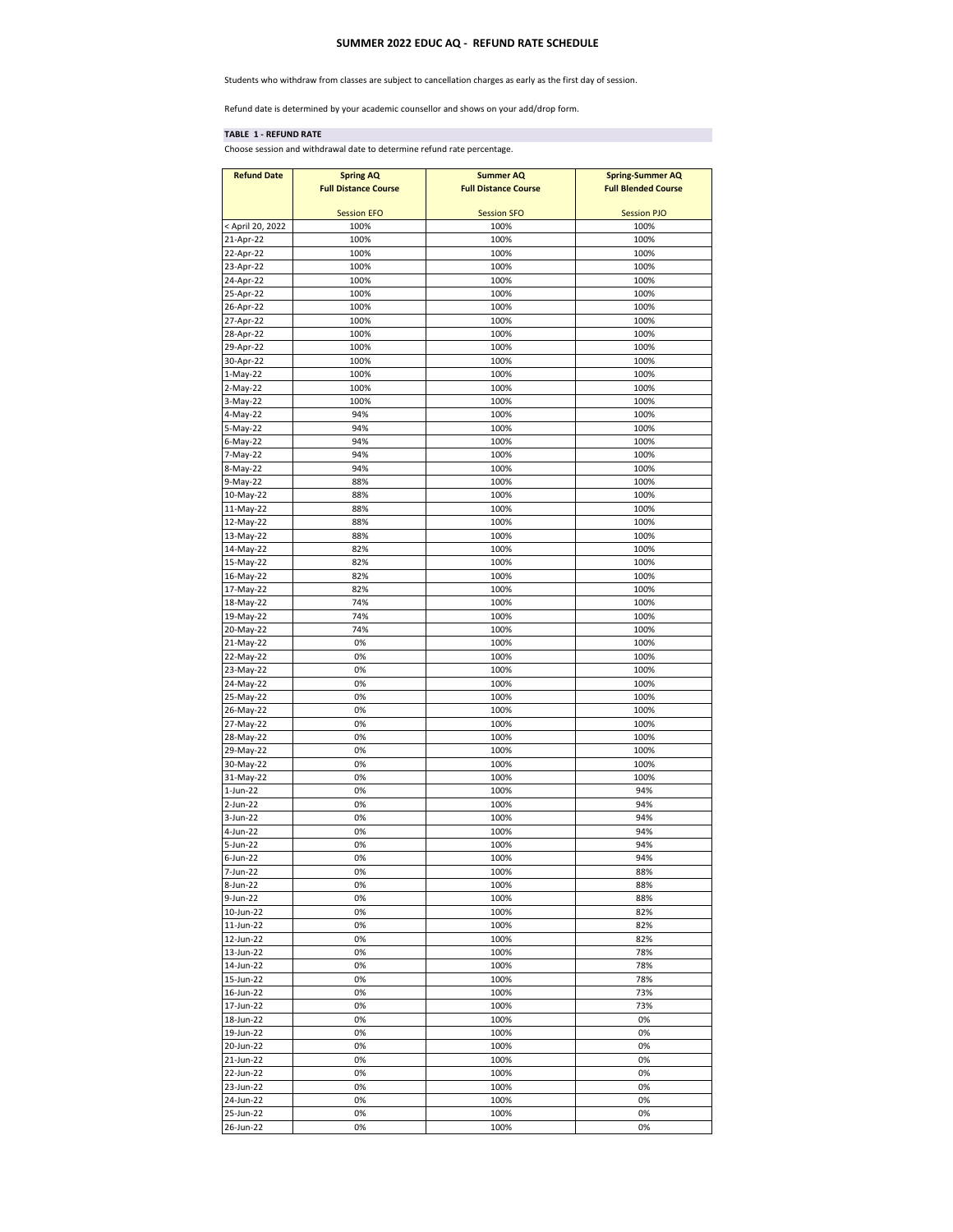## **SUMMER 2022 EDUC AQ - REFUND RATE SCHEDULE**

Students who withdraw from classes are subject to cancellation charges as early as the first day of session.

Refund date is determined by your academic counsellor and shows on your add/drop form.

## **TABLE 1 - REFUND RATE**

Choose session and withdrawal date to determine refund rate percentage.

| <b>Refund Date</b>     | <b>Spring AQ</b>            | <b>Summer AQ</b>            | <b>Spring-Summer AQ</b>    |
|------------------------|-----------------------------|-----------------------------|----------------------------|
|                        | <b>Full Distance Course</b> | <b>Full Distance Course</b> | <b>Full Blended Course</b> |
|                        |                             |                             |                            |
|                        | <b>Session EFO</b>          | <b>Session SFO</b>          | <b>Session PJO</b>         |
| < April 20, 2022       | 100%                        | 100%                        | 100%                       |
| 21-Apr-22              | 100%                        | 100%                        | 100%                       |
| 22-Apr-22              | 100%                        | 100%                        | 100%                       |
| 23-Apr-22              | 100%                        | 100%                        | 100%                       |
| 24-Apr-22              | 100%                        | 100%                        | 100%                       |
| 25-Apr-22              | 100%                        | 100%                        | 100%                       |
| 26-Apr-22              | 100%                        | 100%                        | 100%                       |
| 27-Apr-22              | 100%                        | 100%                        | 100%                       |
| 28-Apr-22              | 100%                        | 100%                        | 100%                       |
| 29-Apr-22              | 100%                        | 100%                        | 100%                       |
| 30-Apr-22              | 100%                        | 100%                        | 100%                       |
| 1-May-22               | 100%                        | 100%                        | 100%                       |
| 2-May-22               | 100%                        | 100%                        | 100%                       |
| 3-May-22               | 100%                        | 100%                        | 100%                       |
| 4-May-22               | 94%                         | 100%                        | 100%                       |
| 5-May-22               | 94%                         | 100%                        | 100%                       |
| 6-May-22               | 94%                         | 100%                        | 100%                       |
| 7-May-22               | 94%                         | 100%                        | 100%                       |
| 8-May-22               | 94%                         | 100%                        | 100%                       |
| 9-May-22               | 88%                         | 100%                        | 100%                       |
| 10-May-22              | 88%                         | 100%                        | 100%                       |
| 11-May-22              | 88%                         | 100%                        | 100%                       |
| 12-May-22              | 88%                         | 100%                        | 100%                       |
| 13-May-22              | 88%                         | 100%                        | 100%                       |
| 14-May-22              | 82%                         | 100%                        | 100%                       |
| 15-May-22              | 82%                         | 100%                        | 100%                       |
| 16-May-22              | 82%                         | 100%                        | 100%                       |
| 17-May-22              | 82%                         | 100%                        | 100%                       |
| 18-May-22              | 74%                         | 100%                        | 100%                       |
| 19-May-22              | 74%                         | 100%                        | 100%                       |
| 20-May-22              | 74%                         | 100%                        | 100%                       |
| 21-May-22              | 0%                          | 100%                        | 100%                       |
| 22-May-22              | 0%<br>0%                    | 100%                        | 100%                       |
| 23-May-22              | 0%                          | 100%                        | 100%                       |
| 24-May-22<br>25-May-22 | 0%                          | 100%<br>100%                | 100%<br>100%               |
| 26-May-22              | 0%                          | 100%                        | 100%                       |
| 27-May-22              | 0%                          | 100%                        | 100%                       |
| 28-May-22              | 0%                          | 100%                        | 100%                       |
| 29-May-22              | 0%                          | 100%                        | 100%                       |
| 30-May-22              | 0%                          | 100%                        | 100%                       |
| 31-May-22              | 0%                          | 100%                        | 100%                       |
| $1-Jun-22$             | 0%                          | 100%                        | 94%                        |
| 2-Jun-22               | 0%                          | 100%                        | 94%                        |
| 3-Jun-22               | 0%                          | 100%                        | 94%                        |
| 4-Jun-22               | 0%                          | 100%                        | 94%                        |
| 5-Jun-22               | 0%                          | 100%                        | 94%                        |
| $6$ -Jun-22            | 0%                          | 100%                        | 94%                        |
| 7-Jun-22               | 0%                          | 100%                        | 88%                        |
| 8-Jun-22               | 0%                          | 100%                        | 88%                        |
| 9-Jun-22               | 0%                          | 100%                        | 88%                        |
| $10$ -Jun-22           | 0%                          | 100%                        | 82%                        |
| $11$ -Jun-22           | 0%                          | 100%                        | 82%                        |
| 12-Jun-22              | 0%                          | 100%                        | 82%                        |
| 13-Jun-22              | 0%                          | 100%                        | 78%                        |
| 14-Jun-22              | 0%                          | 100%                        | 78%                        |
| 15-Jun-22              | 0%                          | 100%                        | 78%                        |
| 16-Jun-22              | 0%                          | 100%                        | 73%                        |
| 17-Jun-22              | 0%                          | 100%                        | 73%                        |
| 18-Jun-22              | 0%                          | 100%                        | 0%                         |
| 19-Jun-22              | 0%                          | 100%                        | 0%                         |
| 20-Jun-22              | 0%                          | 100%                        | 0%                         |
| 21-Jun-22              | 0%                          | 100%                        | 0%                         |
| 22-Jun-22              | 0%                          | 100%                        | 0%                         |
| 23-Jun-22              | 0%                          | 100%                        | 0%                         |
| 24-Jun-22              | 0%                          | 100%                        | 0%                         |
| 25-Jun-22              | 0%                          | 100%                        | 0%                         |
| 26-Jun-22              | 0%                          | 100%                        | 0%                         |